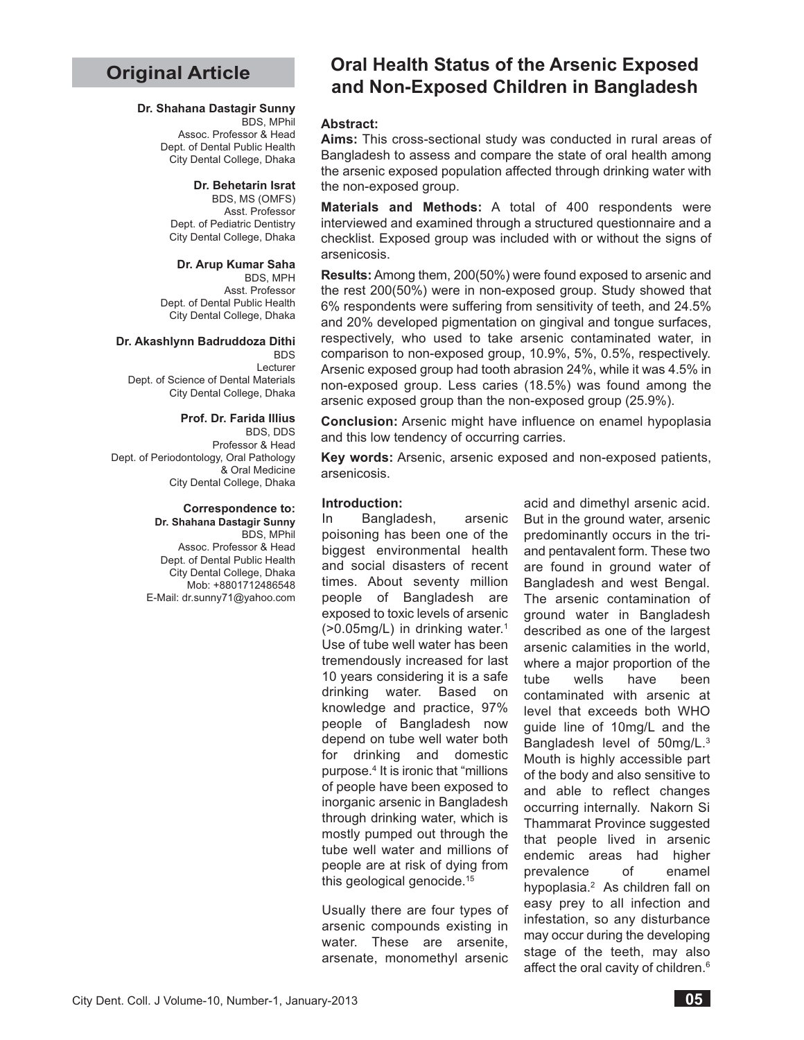# **Original Article**

## **Dr. Shahana Dastagir Sunny**

BDS, MPhil Assoc. Professor & Head Dept. of Dental Public Health City Dental College, Dhaka

#### **Dr. Behetarin Israt**

BDS, MS (OMFS) Asst. Professor Dept. of Pediatric Dentistry City Dental College, Dhaka

## **Dr. Arup Kumar Saha**

BDS, MPH Asst. Professor Dept. of Dental Public Health City Dental College, Dhaka

#### **Dr. Akashlynn Badruddoza Dithi**

**BDS** Lecturer Dept. of Science of Dental Materials City Dental College, Dhaka

#### **Prof. Dr. Farida Illius**

BDS, DDS Professor & Head Dept. of Periodontology, Oral Pathology & Oral Medicine City Dental College, Dhaka

#### **Correspondence to: Dr. Shahana Dastagir Sunny**

BDS, MPhil Assoc. Professor & Head Dept. of Dental Public Health City Dental College, Dhaka Mob: +8801712486548 E-Mail: dr.sunny71@yahoo.com

# **Oral Health Status of the Arsenic Exposed and Non-Exposed Children in Bangladesh**

#### **Abstract:**

**Aims:** This cross-sectional study was conducted in rural areas of Bangladesh to assess and compare the state of oral health among the arsenic exposed population affected through drinking water with the non-exposed group.

**Materials and Methods:** A total of 400 respondents were interviewed and examined through a structured questionnaire and a checklist. Exposed group was included with or without the signs of arsenicosis.

**Results:** Among them, 200(50%) were found exposed to arsenic and the rest 200(50%) were in non-exposed group. Study showed that 6% respondents were suffering from sensitivity of teeth, and 24.5% and 20% developed pigmentation on gingival and tongue surfaces, respectively, who used to take arsenic contaminated water, in comparison to non-exposed group, 10.9%, 5%, 0.5%, respectively. Arsenic exposed group had tooth abrasion 24%, while it was 4.5% in non-exposed group. Less caries (18.5%) was found among the arsenic exposed group than the non-exposed group (25.9%).

**Conclusion:** Arsenic might have influence on enamel hypoplasia and this low tendency of occurring carries.

**Key words:** Arsenic, arsenic exposed and non-exposed patients, arsenicosis.

#### **Introduction:**

In Bangladesh, arsenic poisoning has been one of the biggest environmental health and social disasters of recent times. About seventy million people of Bangladesh are exposed to toxic levels of arsenic (>0.05mg/L) in drinking water.1 Use of tube well water has been tremendously increased for last 10 years considering it is a safe drinking water. Based on knowledge and practice, 97% people of Bangladesh now depend on tube well water both for drinking and domestic purpose.4 It is ironic that "millions of people have been exposed to inorganic arsenic in Bangladesh through drinking water, which is mostly pumped out through the tube well water and millions of people are at risk of dying from this geological genocide.15

Usually there are four types of arsenic compounds existing in water. These are arsenite, arsenate, monomethyl arsenic

acid and dimethyl arsenic acid. But in the ground water, arsenic predominantly occurs in the triand pentavalent form. These two are found in ground water of Bangladesh and west Bengal. The arsenic contamination of ground water in Bangladesh described as one of the largest arsenic calamities in the world, where a major proportion of the tube wells have been contaminated with arsenic at level that exceeds both WHO guide line of 10mg/L and the Bangladesh level of 50mg/L.3 Mouth is highly accessible part of the body and also sensitive to and able to reflect changes occurring internally. Nakorn Si Thammarat Province suggested that people lived in arsenic endemic areas had higher prevalence of enamel hypoplasia.2 As children fall on easy prey to all infection and infestation, so any disturbance may occur during the developing stage of the teeth, may also affect the oral cavity of children.<sup>6</sup>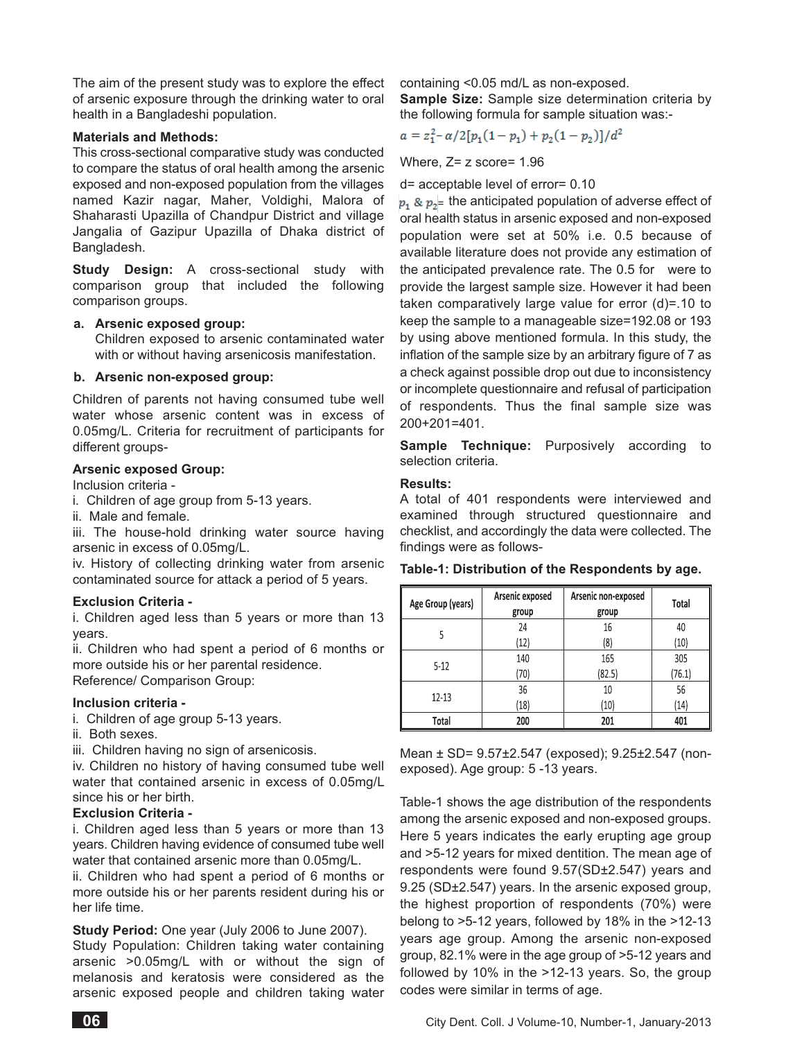The aim of the present study was to explore the effect of arsenic exposure through the drinking water to oral health in a Bangladeshi population.

#### **Materials and Methods:**

This cross-sectional comparative study was conducted to compare the status of oral health among the arsenic exposed and non-exposed population from the villages named Kazir nagar, Maher, Voldighi, Malora of Shaharasti Upazilla of Chandpur District and village Jangalia of Gazipur Upazilla of Dhaka district of Bangladesh.

**Study Design:** A cross-sectional study with comparison group that included the following comparison groups.

## **a. Arsenic exposed group:**

Children exposed to arsenic contaminated water with or without having arsenicosis manifestation.

#### **b. Arsenic non-exposed group:**

Children of parents not having consumed tube well water whose arsenic content was in excess of 0.05mg/L. Criteria for recruitment of participants for different groups-

#### **Arsenic exposed Group:**

Inclusion criteria -

- i. Children of age group from 5-13 years.
- ii. Male and female.

iii. The house-hold drinking water source having arsenic in excess of 0.05mg/L.

iv. History of collecting drinking water from arsenic contaminated source for attack a period of 5 years.

#### **Exclusion Criteria -**

i. Children aged less than 5 years or more than 13 years.

ii. Children who had spent a period of 6 months or more outside his or her parental residence. Reference/ Comparison Group:

#### **Inclusion criteria -**

- i. Children of age group 5-13 years.
- ii. Both sexes.

iii. Children having no sign of arsenicosis.

iv. Children no history of having consumed tube well water that contained arsenic in excess of 0.05mg/L since his or her birth.

#### **Exclusion Criteria -**

i. Children aged less than 5 years or more than 13 years. Children having evidence of consumed tube well water that contained arsenic more than 0.05mg/L.

ii. Children who had spent a period of 6 months or more outside his or her parents resident during his or her life time.

**Study Period:** One year (July 2006 to June 2007).

Study Population: Children taking water containing arsenic >0.05mg/L with or without the sign of melanosis and keratosis were considered as the arsenic exposed people and children taking water containing <0.05 md/L as non-exposed.

**Sample Size:** Sample size determination criteria by the following formula for sample situation was:-

$$
a = z_1^2 - \alpha/2[p_1(1-p_1) + p_2(1-p_2)]/d^2
$$

Where, Z= z score= 1.96

d= acceptable level of error= 0.10

 $\overline{\ }$  = the anticipated population of adverse effect of oral health status in arsenic exposed and non-exposed population were set at 50% i.e. 0.5 because of available literature does not provide any estimation of the anticipated prevalence rate. The 0.5 for were to provide the largest sample size. However it had been taken comparatively large value for error (d)=.10 to keep the sample to a manageable size=192.08 or 193 by using above mentioned formula. In this study, the inflation of the sample size by an arbitrary figure of 7 as a check against possible drop out due to inconsistency or incomplete questionnaire and refusal of participation of respondents. Thus the final sample size was 200+201=401.

**Sample Technique:** Purposively according to selection criteria.

#### **Results:**

A total of 401 respondents were interviewed and examined through structured questionnaire and checklist, and accordingly the data were collected. The findings were as follows-

| Age Group (years) | Arsenic exposed<br>Arsenic non-exposed<br>group<br>group |        | Total  |  |
|-------------------|----------------------------------------------------------|--------|--------|--|
|                   | 24                                                       | 16     | 40     |  |
| 5                 | (12)                                                     | (8)    | (10)   |  |
| $5-12$            | 140                                                      | 165    | 305    |  |
|                   | (70)                                                     | (82.5) | (76.1) |  |
| 12-13             | 36                                                       | 10     | 56     |  |
|                   | (18)                                                     | (10)   | (14)   |  |
| Total             | 200                                                      | 201    | 401    |  |

**Table-1: Distribution of the Respondents by age.**

Mean ± SD= 9.57±2.547 (exposed); 9.25±2.547 (nonexposed). Age group: 5 -13 years.

Table-1 shows the age distribution of the respondents among the arsenic exposed and non-exposed groups. Here 5 years indicates the early erupting age group and >5-12 years for mixed dentition. The mean age of respondents were found 9.57(SD±2.547) years and 9.25 (SD±2.547) years. In the arsenic exposed group, the highest proportion of respondents (70%) were belong to >5-12 years, followed by 18% in the >12-13 years age group. Among the arsenic non-exposed group, 82.1% were in the age group of >5-12 years and followed by 10% in the >12-13 years. So, the group codes were similar in terms of age.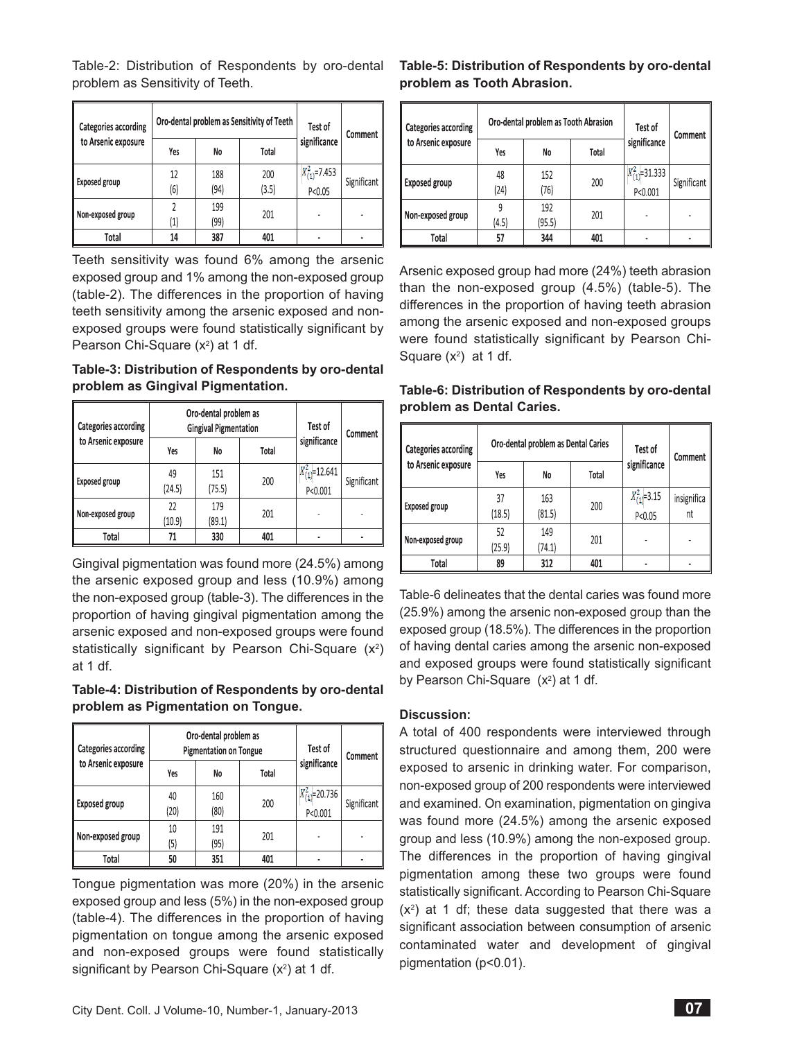Table-2: Distribution of Respondents by oro-dental problem as Sensitivity of Teeth.

| <b>Categories according</b><br>to Arsenic exposure |                   |      | Oro-dental problem as Sensitivity of Teeth | Test of                      | Comment     |
|----------------------------------------------------|-------------------|------|--------------------------------------------|------------------------------|-------------|
|                                                    | Yes               | No   | Total                                      | significance                 |             |
| <b>Exposed group</b>                               | 12                | 188  | 200                                        | $X_{(1)}^2$ =7.453<br>P<0.05 | Significant |
|                                                    | (6)               | (94) | (3.5)                                      |                              |             |
| Non-exposed group                                  |                   | 199  | 201                                        |                              |             |
|                                                    | $\left( 1\right)$ | (99) |                                            |                              |             |
| Total                                              | 14                | 387  | 401                                        |                              |             |

Teeth sensitivity was found 6% among the arsenic exposed group and 1% among the non-exposed group (table-2). The differences in the proportion of having teeth sensitivity among the arsenic exposed and nonexposed groups were found statistically significant by Pearson Chi-Square (x<sup>2</sup>) at 1 df.

## **Table-3: Distribution of Respondents by oro-dental problem as Gingival Pigmentation.**

| Categories according<br>to Arsenic exposure |              | Oro-dental problem as<br><b>Gingival Pigmentation</b> |       |                                  | Comment     |
|---------------------------------------------|--------------|-------------------------------------------------------|-------|----------------------------------|-------------|
|                                             | Yes          | No                                                    | Total | significance                     |             |
| <b>Exposed group</b>                        | 49<br>(24.5) | 151<br>(75.5)                                         | 200   | $X_{(1)}^2$ =12.641<br>P < 0.001 | Significant |
| Non-exposed group                           | 22<br>(10.9) | 179<br>(89.1)                                         | 201   |                                  |             |
| Total                                       | 71           | 330                                                   | 401   |                                  |             |

Gingival pigmentation was found more (24.5%) among the arsenic exposed group and less (10.9%) among the non-exposed group (table-3). The differences in the proportion of having gingival pigmentation among the arsenic exposed and non-exposed groups were found statistically significant by Pearson Chi-Square (x<sup>2</sup>) at 1 df.

## **Table-4: Distribution of Respondents by oro-dental problem as Pigmentation on Tongue.**

| Categories according<br>to Arsenic exposure | Oro-dental problem as<br><b>Pigmentation on Tongue</b> |             |       | Test of                          | Comment     |
|---------------------------------------------|--------------------------------------------------------|-------------|-------|----------------------------------|-------------|
|                                             | Yes                                                    | No          | Total | significance                     |             |
| <b>Exposed group</b>                        | 40<br>(20)                                             | 160<br>(80) | 200   | $X_{(1)}^2$ =20.736<br>  P<0.001 | Significant |
| Non-exposed group                           | 10<br>(5)                                              | 191<br>(95) | 201   |                                  |             |
| Total                                       | 50                                                     | 351         | 401   |                                  |             |

Tongue pigmentation was more (20%) in the arsenic exposed group and less (5%) in the non-exposed group (table-4). The differences in the proportion of having pigmentation on tongue among the arsenic exposed and non-exposed groups were found statistically significant by Pearson Chi-Square  $(x^2)$  at 1 df.

# **Table-5: Distribution of Respondents by oro-dental problem as Tooth Abrasion.**

| <b>Categories according</b><br>to Arsenic exposure |            | Oro-dental problem as Tooth Abrasion |       | Test of                        | Comment     |
|----------------------------------------------------|------------|--------------------------------------|-------|--------------------------------|-------------|
|                                                    | Yes        | No                                   | Total | significance                   |             |
| <b>Exposed group</b>                               | 48<br>(24) | 152<br>(76)                          | 200   | $X_{(1)}^2$ =31.333<br>P<0.001 | Significant |
| Non-exposed group                                  | (4.5)      | 192<br>(95.5)                        | 201   |                                |             |
| Total                                              | 57         | 344                                  | 401   |                                |             |

Arsenic exposed group had more (24%) teeth abrasion than the non-exposed group (4.5%) (table-5). The differences in the proportion of having teeth abrasion among the arsenic exposed and non-exposed groups were found statistically significant by Pearson Chi-Square  $(x^2)$  at 1 df.

# **Table-6: Distribution of Respondents by oro-dental problem as Dental Caries.**

| Categories according<br>to Arsenic exposure |              | Oro-dental problem as Dental Caries |       | Test of<br>Comment             |                   |
|---------------------------------------------|--------------|-------------------------------------|-------|--------------------------------|-------------------|
|                                             | Yes          | No                                  | Total | significance                   |                   |
| <b>Exposed group</b>                        | 37<br>(18.5) | 163<br>(81.5)                       | 200   | $X_{(1)}^2 = 3.15$<br>P < 0.05 | insignifica<br>nt |
| Non-exposed group                           | 52<br>(25.9) | 149<br>(74.1)                       | 201   |                                |                   |
| Total                                       | 89           | 312                                 | 401   |                                |                   |

Table-6 delineates that the dental caries was found more (25.9%) among the arsenic non-exposed group than the exposed group (18.5%). The differences in the proportion of having dental caries among the arsenic non-exposed and exposed groups were found statistically significant by Pearson Chi-Square  $(x^2)$  at 1 df.

# **Discussion:**

A total of 400 respondents were interviewed through structured questionnaire and among them, 200 were exposed to arsenic in drinking water. For comparison, non-exposed group of 200 respondents were interviewed and examined. On examination, pigmentation on gingiva was found more (24.5%) among the arsenic exposed group and less (10.9%) among the non-exposed group. The differences in the proportion of having gingival pigmentation among these two groups were found statistically significant. According to Pearson Chi-Square  $(x<sup>2</sup>)$  at 1 df; these data suggested that there was a significant association between consumption of arsenic contaminated water and development of gingival pigmentation (p<0.01).